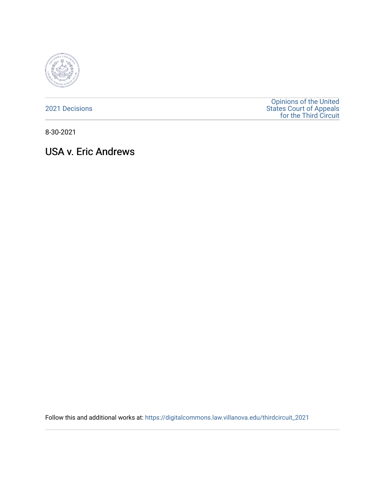

[2021 Decisions](https://digitalcommons.law.villanova.edu/thirdcircuit_2021)

[Opinions of the United](https://digitalcommons.law.villanova.edu/thirdcircuit)  [States Court of Appeals](https://digitalcommons.law.villanova.edu/thirdcircuit)  [for the Third Circuit](https://digitalcommons.law.villanova.edu/thirdcircuit) 

8-30-2021

# USA v. Eric Andrews

Follow this and additional works at: [https://digitalcommons.law.villanova.edu/thirdcircuit\\_2021](https://digitalcommons.law.villanova.edu/thirdcircuit_2021?utm_source=digitalcommons.law.villanova.edu%2Fthirdcircuit_2021%2F697&utm_medium=PDF&utm_campaign=PDFCoverPages)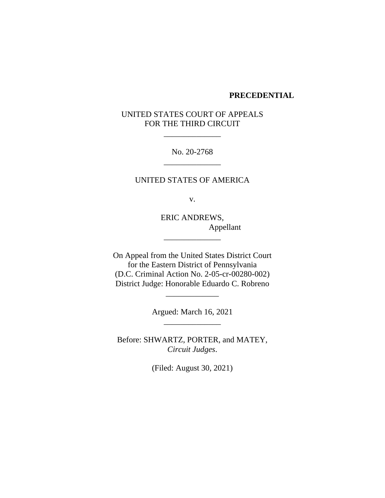#### **PRECEDENTIAL**

# UNITED STATES COURT OF APPEALS FOR THE THIRD CIRCUIT

\_\_\_\_\_\_\_\_\_\_\_\_\_\_

No. 20-2768 \_\_\_\_\_\_\_\_\_\_\_\_\_\_

UNITED STATES OF AMERICA

v.

ERIC ANDREWS, Appellant

On Appeal from the United States District Court for the Eastern District of Pennsylvania (D.C. Criminal Action No. 2-05-cr-00280-002) District Judge: Honorable Eduardo C. Robreno

\_\_\_\_\_\_\_\_\_\_\_\_\_\_

Argued: March 16, 2021 \_\_\_\_\_\_\_\_\_\_\_\_\_\_

\_\_\_\_\_\_\_\_\_\_\_\_\_

Before: SHWARTZ, PORTER, and MATEY, *Circuit Judges*.

(Filed: August 30, 2021)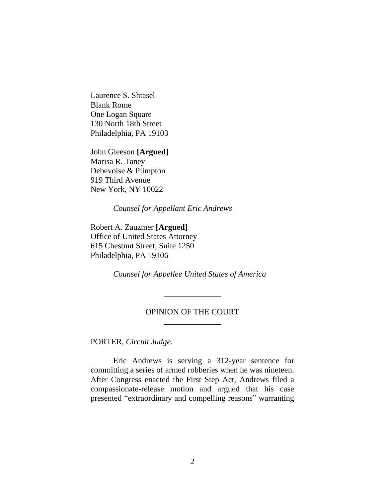Laurence S. Shtasel Blank Rome One Logan Square 130 North 18th Street Philadelphia, PA 19103

John Gleeson **[Argued]** Marisa R. Taney Debevoise & Plimpton 919 Third Avenue New York, NY 10022

*Counsel for Appellant Eric Andrews*

Robert A. Zauzmer **[Argued]** Office of United States Attorney 615 Chestnut Street, Suite 1250 Philadelphia, PA 19106

*Counsel for Appellee United States of America*

# OPINION OF THE COURT \_\_\_\_\_\_\_\_\_\_\_\_\_\_

\_\_\_\_\_\_\_\_\_\_\_\_\_\_

PORTER, *Circuit Judge*.

Eric Andrews is serving a 312-year sentence for committing a series of armed robberies when he was nineteen. After Congress enacted the First Step Act, Andrews filed a compassionate-release motion and argued that his case presented "extraordinary and compelling reasons" warranting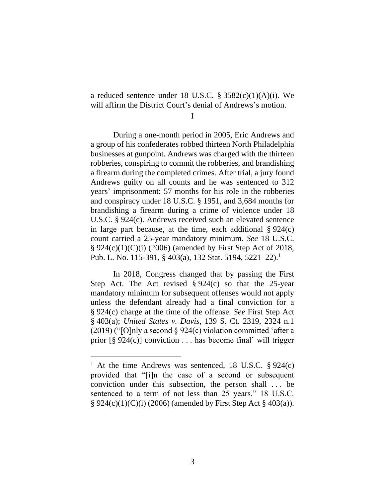a reduced sentence under 18 U.S.C.  $\S 3582(c)(1)(A)(i)$ . We will affirm the District Court's denial of Andrews's motion.

I

During a one-month period in 2005, Eric Andrews and a group of his confederates robbed thirteen North Philadelphia businesses at gunpoint. Andrews was charged with the thirteen robberies, conspiring to commit the robberies, and brandishing a firearm during the completed crimes. After trial, a jury found Andrews guilty on all counts and he was sentenced to 312 years' imprisonment: 57 months for his role in the robberies and conspiracy under 18 U.S.C. § 1951, and 3,684 months for brandishing a firearm during a crime of violence under 18 U.S.C. § 924(c). Andrews received such an elevated sentence in large part because, at the time, each additional  $\S 924(c)$ count carried a 25-year mandatory minimum. *See* 18 U.S.C. § 924(c)(1)(C)(i) (2006) (amended by First Step Act of 2018, Pub. L. No. 115-391, § 403(a), 132 Stat. 5194, 5221–22).<sup>1</sup>

In 2018, Congress changed that by passing the First Step Act. The Act revised  $\S 924(c)$  so that the 25-year mandatory minimum for subsequent offenses would not apply unless the defendant already had a final conviction for a § 924(c) charge at the time of the offense. *See* First Step Act § 403(a); *United States v. Davis*, 139 S. Ct. 2319, 2324 n.1  $(2019)$  ("[O]nly a second § 924(c) violation committed 'after a prior [§ 924(c)] conviction . . . has become final' will trigger

<sup>&</sup>lt;sup>1</sup> At the time Andrews was sentenced, 18 U.S.C.  $\S 924(c)$ provided that "[i]n the case of a second or subsequent conviction under this subsection, the person shall . . . be sentenced to a term of not less than 25 years." 18 U.S.C. § 924(c)(1)(C)(i) (2006) (amended by First Step Act § 403(a)).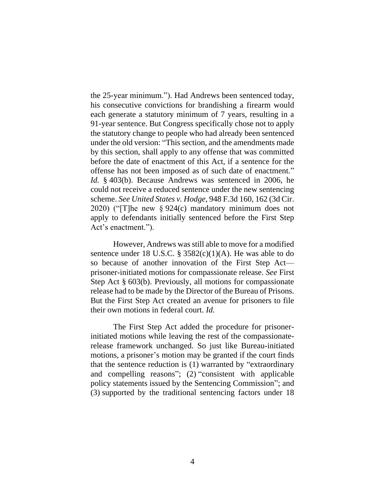the 25-year minimum."). Had Andrews been sentenced today, his consecutive convictions for brandishing a firearm would each generate a statutory minimum of 7 years, resulting in a 91-year sentence. But Congress specifically chose not to apply the statutory change to people who had already been sentenced under the old version: "This section, and the amendments made by this section, shall apply to any offense that was committed before the date of enactment of this Act, if a sentence for the offense has not been imposed as of such date of enactment." *Id.* § 403(b). Because Andrews was sentenced in 2006, he could not receive a reduced sentence under the new sentencing scheme. *See United States v. Hodge*, 948 F.3d 160, 162 (3d Cir. 2020) ("[T]he new § 924(c) mandatory minimum does not apply to defendants initially sentenced before the First Step Act's enactment.").

However, Andrews was still able to move for a modified sentence under 18 U.S.C.  $\S$  3582(c)(1)(A). He was able to do so because of another innovation of the First Step Act prisoner-initiated motions for compassionate release. *See* First Step Act § 603(b). Previously, all motions for compassionate release had to be made by the Director of the Bureau of Prisons. But the First Step Act created an avenue for prisoners to file their own motions in federal court. *Id.*

The First Step Act added the procedure for prisonerinitiated motions while leaving the rest of the compassionaterelease framework unchanged. So just like Bureau-initiated motions, a prisoner's motion may be granted if the court finds that the sentence reduction is (1) warranted by "extraordinary and compelling reasons"; (2) "consistent with applicable policy statements issued by the Sentencing Commission"; and (3) supported by the traditional sentencing factors under 18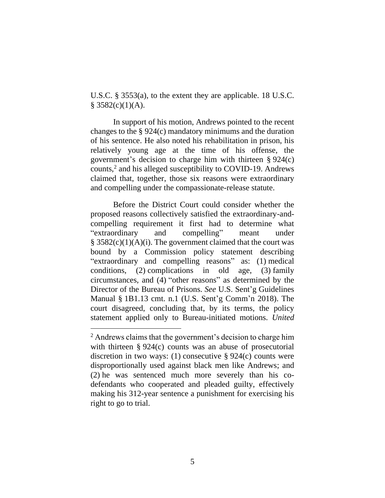U.S.C. § 3553(a), to the extent they are applicable. 18 U.S.C.  $§$  3582(c)(1)(A).

In support of his motion, Andrews pointed to the recent changes to the § 924(c) mandatory minimums and the duration of his sentence. He also noted his rehabilitation in prison, his relatively young age at the time of his offense, the government's decision to charge him with thirteen § 924(c) counts,<sup>2</sup> and his alleged susceptibility to COVID-19. Andrews claimed that, together, those six reasons were extraordinary and compelling under the compassionate-release statute.

Before the District Court could consider whether the proposed reasons collectively satisfied the extraordinary-andcompelling requirement it first had to determine what "extraordinary and compelling" meant under  $§$  3582(c)(1)(A)(i). The government claimed that the court was bound by a Commission policy statement describing "extraordinary and compelling reasons" as: (1) medical conditions, (2) complications in old age, (3) family circumstances, and (4) "other reasons" as determined by the Director of the Bureau of Prisons. *See* U.S. Sent'g Guidelines Manual § 1B1.13 cmt. n.1 (U.S. Sent'g Comm'n 2018). The court disagreed, concluding that, by its terms, the policy statement applied only to Bureau-initiated motions. *United* 

<sup>&</sup>lt;sup>2</sup> Andrews claims that the government's decision to charge him with thirteen § 924(c) counts was an abuse of prosecutorial discretion in two ways: (1) consecutive  $\S 924(c)$  counts were disproportionally used against black men like Andrews; and (2) he was sentenced much more severely than his codefendants who cooperated and pleaded guilty, effectively making his 312-year sentence a punishment for exercising his right to go to trial.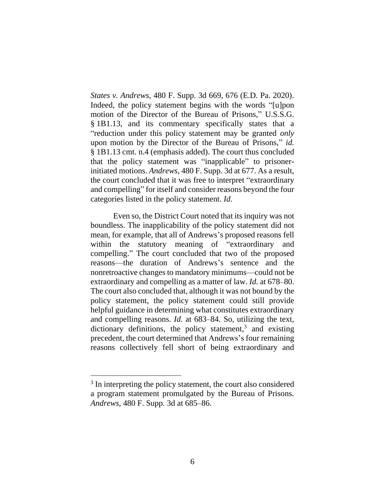*States v. Andrews*, 480 F. Supp. 3d 669, 676 (E.D. Pa. 2020). Indeed, the policy statement begins with the words "[u]pon motion of the Director of the Bureau of Prisons," U.S.S.G. § 1B1.13, and its commentary specifically states that a "reduction under this policy statement may be granted *only* upon motion by the Director of the Bureau of Prisons," *id.* § 1B1.13 cmt. n.4 (emphasis added). The court thus concluded that the policy statement was "inapplicable" to prisonerinitiated motions. *Andrews*, 480 F. Supp. 3d at 677. As a result, the court concluded that it was free to interpret "extraordinary and compelling" for itself and consider reasons beyond the four categories listed in the policy statement. *Id.*

Even so, the District Court noted that its inquiry was not boundless. The inapplicability of the policy statement did not mean, for example, that all of Andrews's proposed reasons fell within the statutory meaning of "extraordinary and compelling." The court concluded that two of the proposed reasons—the duration of Andrews's sentence and the nonretroactive changes to mandatory minimums—could not be extraordinary and compelling as a matter of law. *Id.* at 678–80. The court also concluded that, although it was not bound by the policy statement, the policy statement could still provide helpful guidance in determining what constitutes extraordinary and compelling reasons. *Id.* at 683–84. So, utilizing the text, dictionary definitions, the policy statement, $3$  and existing precedent, the court determined that Andrews's four remaining reasons collectively fell short of being extraordinary and

<sup>&</sup>lt;sup>3</sup> In interpreting the policy statement, the court also considered a program statement promulgated by the Bureau of Prisons. *Andrews*, 480 F. Supp. 3d at 685–86.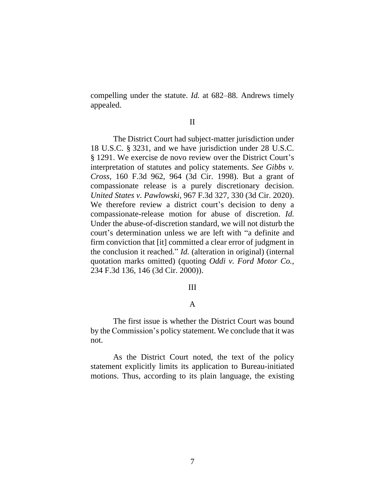compelling under the statute. *Id.* at 682–88. Andrews timely appealed.

#### II

The District Court had subject-matter jurisdiction under 18 U.S.C. § 3231, and we have jurisdiction under 28 U.S.C. § 1291. We exercise de novo review over the District Court's interpretation of statutes and policy statements. *See Gibbs v. Cross*, 160 F.3d 962, 964 (3d Cir. 1998). But a grant of compassionate release is a purely discretionary decision. *United States v. Pawlowski*, 967 F.3d 327, 330 (3d Cir. 2020). We therefore review a district court's decision to deny a compassionate-release motion for abuse of discretion. *Id.* Under the abuse-of-discretion standard, we will not disturb the court's determination unless we are left with "a definite and firm conviction that [it] committed a clear error of judgment in the conclusion it reached." *Id.* (alteration in original) (internal quotation marks omitted) (quoting *Oddi v. Ford Motor Co.*, 234 F.3d 136, 146 (3d Cir. 2000)).

## III

## A

The first issue is whether the District Court was bound by the Commission's policy statement. We conclude that it was not.

As the District Court noted, the text of the policy statement explicitly limits its application to Bureau-initiated motions. Thus, according to its plain language, the existing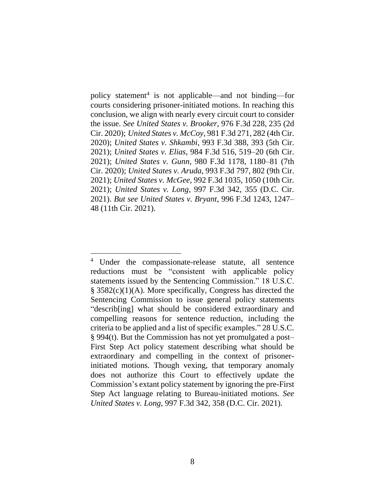policy statement<sup>4</sup> is not applicable—and not binding—for courts considering prisoner-initiated motions. In reaching this conclusion, we align with nearly every circuit court to consider the issue. *See United States v. Brooker*, 976 F.3d 228, 235 (2d Cir. 2020); *United States v. McCoy*, 981 F.3d 271, 282 (4th Cir. 2020); *United States v. Shkambi*, 993 F.3d 388, 393 (5th Cir. 2021); *United States v. Elias*, 984 F.3d 516, 519–20 (6th Cir. 2021); *United States v. Gunn*, 980 F.3d 1178, 1180–81 (7th Cir. 2020); *United States v. Aruda*, 993 F.3d 797, 802 (9th Cir. 2021); *United States v. McGee*, 992 F.3d 1035, 1050 (10th Cir. 2021); *United States v. Long*, 997 F.3d 342, 355 (D.C. Cir. 2021). *But see United States v. Bryant*, 996 F.3d 1243, 1247– 48 (11th Cir. 2021).

<sup>4</sup> Under the compassionate-release statute, all sentence reductions must be "consistent with applicable policy statements issued by the Sentencing Commission." 18 U.S.C. § 3582(c)(1)(A). More specifically, Congress has directed the Sentencing Commission to issue general policy statements "describ[ing] what should be considered extraordinary and compelling reasons for sentence reduction, including the criteria to be applied and a list of specific examples." 28 U.S.C. § 994(t). But the Commission has not yet promulgated a post– First Step Act policy statement describing what should be extraordinary and compelling in the context of prisonerinitiated motions. Though vexing, that temporary anomaly does not authorize this Court to effectively update the Commission's extant policy statement by ignoring the pre-First Step Act language relating to Bureau-initiated motions. *See United States v. Long*, 997 F.3d 342, 358 (D.C. Cir. 2021).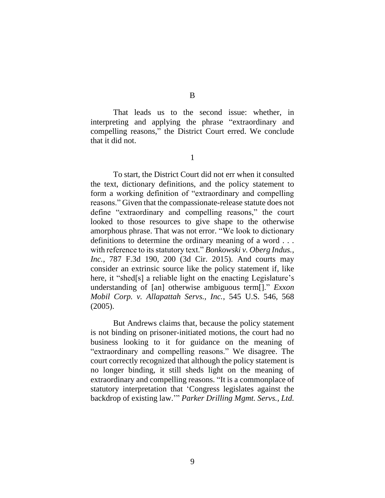B

That leads us to the second issue: whether, in interpreting and applying the phrase "extraordinary and compelling reasons," the District Court erred. We conclude that it did not.

1

To start, the District Court did not err when it consulted the text, dictionary definitions, and the policy statement to form a working definition of "extraordinary and compelling reasons." Given that the compassionate-release statute does not define "extraordinary and compelling reasons," the court looked to those resources to give shape to the otherwise amorphous phrase. That was not error. "We look to dictionary definitions to determine the ordinary meaning of a word . . . with reference to its statutory text." *Bonkowski v. Oberg Indus., Inc.*, 787 F.3d 190, 200 (3d Cir. 2015). And courts may consider an extrinsic source like the policy statement if, like here, it "shed[s] a reliable light on the enacting Legislature's understanding of [an] otherwise ambiguous term[]." *Exxon Mobil Corp. v. Allapattah Servs., Inc.*, 545 U.S. 546, 568 (2005).

But Andrews claims that, because the policy statement is not binding on prisoner-initiated motions, the court had no business looking to it for guidance on the meaning of "extraordinary and compelling reasons." We disagree. The court correctly recognized that although the policy statement is no longer binding, it still sheds light on the meaning of extraordinary and compelling reasons. "It is a commonplace of statutory interpretation that 'Congress legislates against the backdrop of existing law.'" *Parker Drilling Mgmt. Servs., Ltd.*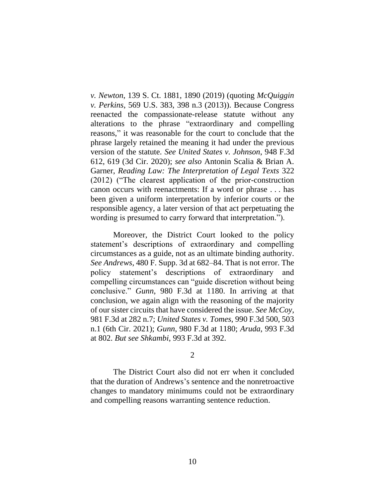*v. Newton*, 139 S. Ct. 1881, 1890 (2019) (quoting *McQuiggin v. Perkins*, 569 U.S. 383, 398 n.3 (2013)). Because Congress reenacted the compassionate-release statute without any alterations to the phrase "extraordinary and compelling reasons," it was reasonable for the court to conclude that the phrase largely retained the meaning it had under the previous version of the statute. *See United States v. Johnson*, 948 F.3d 612, 619 (3d Cir. 2020); *see also* Antonin Scalia & Brian A. Garner, *Reading Law: The Interpretation of Legal Texts* 322 (2012) ("The clearest application of the prior-construction canon occurs with reenactments: If a word or phrase . . . has been given a uniform interpretation by inferior courts or the responsible agency, a later version of that act perpetuating the wording is presumed to carry forward that interpretation.").

Moreover, the District Court looked to the policy statement's descriptions of extraordinary and compelling circumstances as a guide, not as an ultimate binding authority. *See Andrews*, 480 F. Supp. 3d at 682–84. That is not error. The policy statement's descriptions of extraordinary and compelling circumstances can "guide discretion without being conclusive." *Gunn*, 980 F.3d at 1180. In arriving at that conclusion, we again align with the reasoning of the majority of our sister circuits that have considered the issue. *See McCoy*, 981 F.3d at 282 n.7; *United States v. Tomes*, 990 F.3d 500, 503 n.1 (6th Cir. 2021); *Gunn*, 980 F.3d at 1180; *Aruda*, 993 F.3d at 802. *But see Shkambi*, 993 F.3d at 392.

2

The District Court also did not err when it concluded that the duration of Andrews's sentence and the nonretroactive changes to mandatory minimums could not be extraordinary and compelling reasons warranting sentence reduction.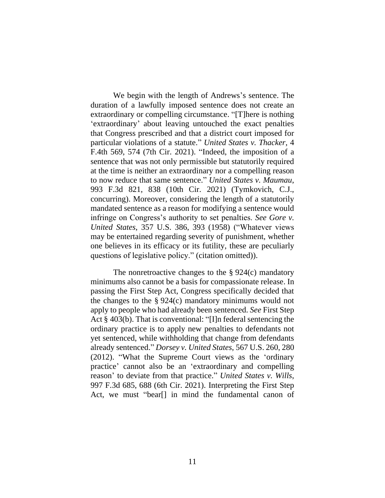We begin with the length of Andrews's sentence. The duration of a lawfully imposed sentence does not create an extraordinary or compelling circumstance. "[T]here is nothing 'extraordinary' about leaving untouched the exact penalties that Congress prescribed and that a district court imposed for particular violations of a statute." *United States v. Thacker*, 4 F.4th 569, 574 (7th Cir. 2021). "Indeed, the imposition of a sentence that was not only permissible but statutorily required at the time is neither an extraordinary nor a compelling reason to now reduce that same sentence." *United States v. Maumau*, 993 F.3d 821, 838 (10th Cir. 2021) (Tymkovich, C.J., concurring). Moreover, considering the length of a statutorily mandated sentence as a reason for modifying a sentence would infringe on Congress's authority to set penalties. *See Gore v. United States*, 357 U.S. 386, 393 (1958) ("Whatever views may be entertained regarding severity of punishment, whether one believes in its efficacy or its futility, these are peculiarly questions of legislative policy." (citation omitted)).

The nonretroactive changes to the  $\S 924(c)$  mandatory minimums also cannot be a basis for compassionate release. In passing the First Step Act, Congress specifically decided that the changes to the  $\S 924(c)$  mandatory minimums would not apply to people who had already been sentenced. *See* First Step Act § 403(b). That is conventional: "[I]n federal sentencing the ordinary practice is to apply new penalties to defendants not yet sentenced, while withholding that change from defendants already sentenced." *Dorsey v. United States*, 567 U.S. 260, 280 (2012). "What the Supreme Court views as the 'ordinary practice' cannot also be an 'extraordinary and compelling reason' to deviate from that practice." *United States v. Wills*, 997 F.3d 685, 688 (6th Cir. 2021). Interpreting the First Step Act, we must "bear[] in mind the fundamental canon of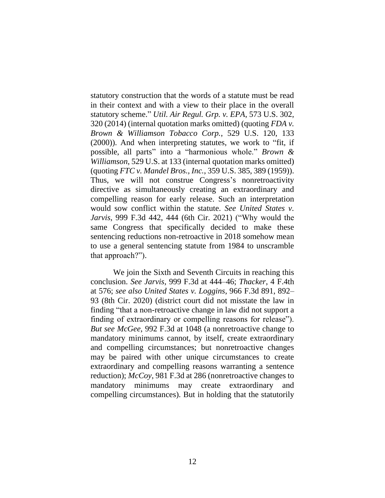statutory construction that the words of a statute must be read in their context and with a view to their place in the overall statutory scheme." *Util. Air Regul. Grp. v. EPA*, 573 U.S. 302, 320 (2014) (internal quotation marks omitted) (quoting *FDA v. Brown & Williamson Tobacco Corp.*, 529 U.S. 120, 133 (2000)). And when interpreting statutes, we work to "fit, if possible, all parts" into a "harmonious whole." *Brown & Williamson*, 529 U.S. at 133 (internal quotation marks omitted) (quoting *FTC v. Mandel Bros., Inc.*, 359 U.S. 385, 389 (1959)). Thus, we will not construe Congress's nonretroactivity directive as simultaneously creating an extraordinary and compelling reason for early release. Such an interpretation would sow conflict within the statute. *See United States v. Jarvis*, 999 F.3d 442, 444 (6th Cir. 2021) ("Why would the same Congress that specifically decided to make these sentencing reductions non-retroactive in 2018 somehow mean to use a general sentencing statute from 1984 to unscramble that approach?").

We join the Sixth and Seventh Circuits in reaching this conclusion. *See Jarvis*, 999 F.3d at 444–46; *Thacker*, 4 F.4th at 576; *see also United States v. Loggins*, 966 F.3d 891, 892– 93 (8th Cir. 2020) (district court did not misstate the law in finding "that a non-retroactive change in law did not support a finding of extraordinary or compelling reasons for release"). *But see McGee*, 992 F.3d at 1048 (a nonretroactive change to mandatory minimums cannot, by itself, create extraordinary and compelling circumstances; but nonretroactive changes may be paired with other unique circumstances to create extraordinary and compelling reasons warranting a sentence reduction); *McCoy*, 981 F.3d at 286 (nonretroactive changes to mandatory minimums may create extraordinary and compelling circumstances). But in holding that the statutorily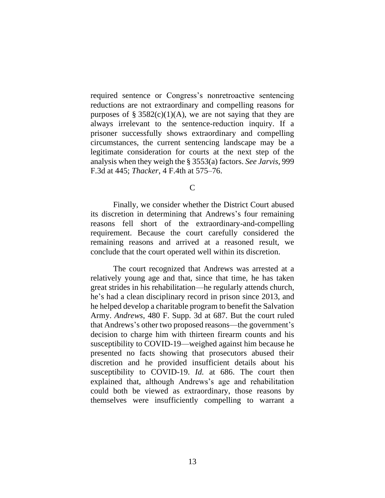required sentence or Congress's nonretroactive sentencing reductions are not extraordinary and compelling reasons for purposes of § 3582(c)(1)(A), we are not saying that they are always irrelevant to the sentence-reduction inquiry. If a prisoner successfully shows extraordinary and compelling circumstances, the current sentencing landscape may be a legitimate consideration for courts at the next step of the analysis when they weigh the § 3553(a) factors. *See Jarvis*, 999 F.3d at 445; *Thacker*, 4 F.4th at 575–76.

C

Finally, we consider whether the District Court abused its discretion in determining that Andrews's four remaining reasons fell short of the extraordinary-and-compelling requirement. Because the court carefully considered the remaining reasons and arrived at a reasoned result, we conclude that the court operated well within its discretion.

The court recognized that Andrews was arrested at a relatively young age and that, since that time, he has taken great strides in his rehabilitation—he regularly attends church, he's had a clean disciplinary record in prison since 2013, and he helped develop a charitable program to benefit the Salvation Army. *Andrews*, 480 F. Supp. 3d at 687. But the court ruled that Andrews's other two proposed reasons—the government's decision to charge him with thirteen firearm counts and his susceptibility to COVID-19—weighed against him because he presented no facts showing that prosecutors abused their discretion and he provided insufficient details about his susceptibility to COVID-19. *Id.* at 686. The court then explained that, although Andrews's age and rehabilitation could both be viewed as extraordinary, those reasons by themselves were insufficiently compelling to warrant a